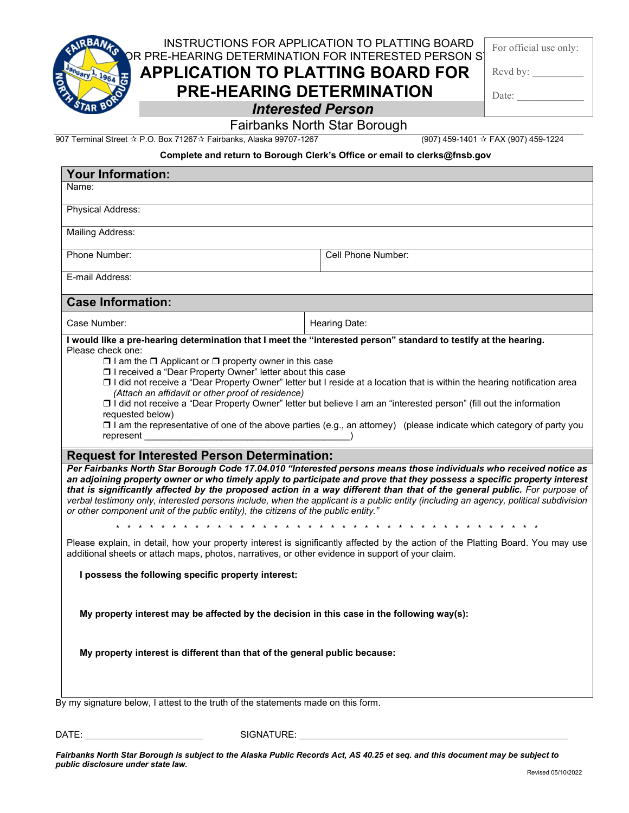INSTRUCTIONS FOR APPLICATION TO PLATTING BOARD DR PRE-HEARING DETERMINATION FOR INTERESTED PERSON ST

**APPLICATION TO PLATTING BOARD FOR** 

**PRE-HEARING DETERMINATION**

For official use only:

Rcvd by:

Date:

## *Interested Person*

## Fairbanks North Star Borough

907 Terminal Street P.O. Box 71267 Fairbanks, Alaska 99707-1267 (907) 459-1401 FAX (907) 459-1224

## **Complete and return to Borough Clerk's Office or email to clerks@fnsb.gov**

| <b>Your Information:</b>                                                                                                                                                                                                                                                                                                                                                                                                                                                                                                     |                                                                                                                                                                                                                                                                                                                                                                                                                                                                                                                   |
|------------------------------------------------------------------------------------------------------------------------------------------------------------------------------------------------------------------------------------------------------------------------------------------------------------------------------------------------------------------------------------------------------------------------------------------------------------------------------------------------------------------------------|-------------------------------------------------------------------------------------------------------------------------------------------------------------------------------------------------------------------------------------------------------------------------------------------------------------------------------------------------------------------------------------------------------------------------------------------------------------------------------------------------------------------|
| Name:                                                                                                                                                                                                                                                                                                                                                                                                                                                                                                                        |                                                                                                                                                                                                                                                                                                                                                                                                                                                                                                                   |
| Physical Address:                                                                                                                                                                                                                                                                                                                                                                                                                                                                                                            |                                                                                                                                                                                                                                                                                                                                                                                                                                                                                                                   |
| <b>Mailing Address:</b>                                                                                                                                                                                                                                                                                                                                                                                                                                                                                                      |                                                                                                                                                                                                                                                                                                                                                                                                                                                                                                                   |
| Phone Number:                                                                                                                                                                                                                                                                                                                                                                                                                                                                                                                | Cell Phone Number:                                                                                                                                                                                                                                                                                                                                                                                                                                                                                                |
| E-mail Address:                                                                                                                                                                                                                                                                                                                                                                                                                                                                                                              |                                                                                                                                                                                                                                                                                                                                                                                                                                                                                                                   |
| <b>Case Information:</b>                                                                                                                                                                                                                                                                                                                                                                                                                                                                                                     |                                                                                                                                                                                                                                                                                                                                                                                                                                                                                                                   |
| Case Number:                                                                                                                                                                                                                                                                                                                                                                                                                                                                                                                 | Hearing Date:                                                                                                                                                                                                                                                                                                                                                                                                                                                                                                     |
| □ I received a "Dear Property Owner" letter about this case<br>□ I did not receive a "Dear Property Owner" letter but I reside at a location that is within the hearing notification area<br>(Attach an affidavit or other proof of residence)<br>□ i did not receive a "Dear Property Owner" letter but believe I am an "interested person" (fill out the information<br>requested below)<br>$\square$ I am the representative of one of the above parties (e.g., an attorney) (please indicate which category of party you |                                                                                                                                                                                                                                                                                                                                                                                                                                                                                                                   |
| <b>Request for Interested Person Determination:</b>                                                                                                                                                                                                                                                                                                                                                                                                                                                                          |                                                                                                                                                                                                                                                                                                                                                                                                                                                                                                                   |
| or other component unit of the public entity), the citizens of the public entity."                                                                                                                                                                                                                                                                                                                                                                                                                                           | Per Fairbanks North Star Borough Code 17.04.010 "Interested persons means those individuals who received notice as<br>an adjoining property owner or who timely apply to participate and prove that they possess a specific property interest<br>that is significantly affected by the proposed action in a way different than that of the general public. For purpose of<br>verbal testimony only, interested persons include, when the applicant is a public entity (including an agency, political subdivision |
| additional sheets or attach maps, photos, narratives, or other evidence in support of your claim.                                                                                                                                                                                                                                                                                                                                                                                                                            | Please explain, in detail, how your property interest is significantly affected by the action of the Platting Board. You may use                                                                                                                                                                                                                                                                                                                                                                                  |
| I possess the following specific property interest:                                                                                                                                                                                                                                                                                                                                                                                                                                                                          |                                                                                                                                                                                                                                                                                                                                                                                                                                                                                                                   |
| My property interest may be affected by the decision in this case in the following way(s):                                                                                                                                                                                                                                                                                                                                                                                                                                   |                                                                                                                                                                                                                                                                                                                                                                                                                                                                                                                   |
| My property interest is different than that of the general public because:                                                                                                                                                                                                                                                                                                                                                                                                                                                   |                                                                                                                                                                                                                                                                                                                                                                                                                                                                                                                   |
| $\mathsf{D}u$ my cignoture below. Lettest to the truth of the etatements made on this form                                                                                                                                                                                                                                                                                                                                                                                                                                   |                                                                                                                                                                                                                                                                                                                                                                                                                                                                                                                   |

By my signature below, I attest to the truth of the statements made on this form.

DATE: SIGNATURE:

*Fairbanks North Star Borough is subject to the Alaska Public Records Act, AS 40.25 et seq. and this document may be subject to public disclosure under state law.*